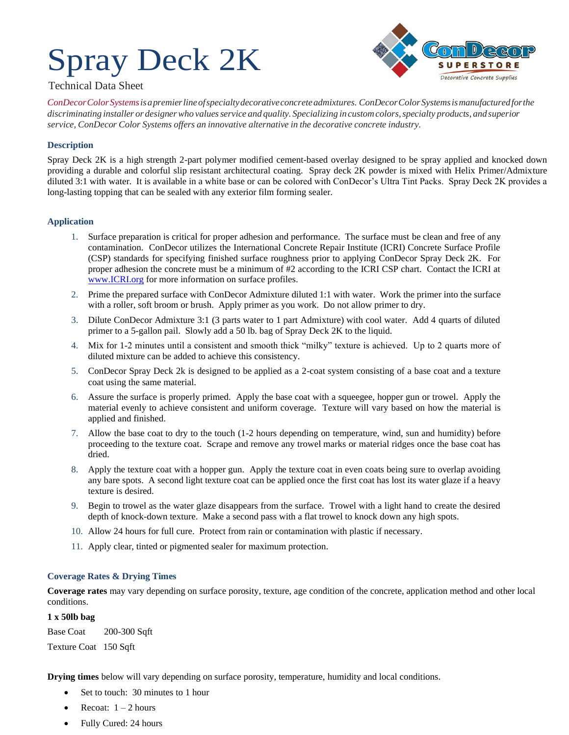# Spray Deck 2K



### Technical Data Sheet

*ConDecorColorSystemsisapremierlineofspecialtydecorativeconcreteadmixtures. ConDecorColorSystemsismanufacturedforthe discriminating installer or designerwho valuesservice and quality. Specializing incustomcolors,specialty products, and superior service, ConDecor Color Systems offers an innovative alternative in the decorative concrete industry.*

## **Description**

Spray Deck 2K is a high strength 2-part polymer modified cement-based overlay designed to be spray applied and knocked down providing a durable and colorful slip resistant architectural coating. Spray deck 2K powder is mixed with Helix Primer/Admixture diluted 3:1 with water. It is available in a white base or can be colored with ConDecor's Ultra Tint Packs. Spray Deck 2K provides a long-lasting topping that can be sealed with any exterior film forming sealer.

#### **Application**

- 1. Surface preparation is critical for proper adhesion and performance. The surface must be clean and free of any contamination. ConDecor utilizes the International Concrete Repair Institute (ICRI) Concrete Surface Profile (CSP) standards for specifying finished surface roughness prior to applying ConDecor Spray Deck 2K. For proper adhesion the concrete must be a minimum of #2 according to the ICRI CSP chart. Contact the ICRI at [www.ICRI.org](http://www.icri.org/) for more information on surface profiles.
- 2. Prime the prepared surface with ConDecor Admixture diluted 1:1 with water. Work the primer into the surface with a roller, soft broom or brush. Apply primer as you work. Do not allow primer to dry.
- 3. Dilute ConDecor Admixture 3:1 (3 parts water to 1 part Admixture) with cool water. Add 4 quarts of diluted primer to a 5-gallon pail. Slowly add a 50 lb. bag of Spray Deck 2K to the liquid.
- 4. Mix for 1-2 minutes until a consistent and smooth thick "milky" texture is achieved. Up to 2 quarts more of diluted mixture can be added to achieve this consistency.
- 5. ConDecor Spray Deck 2k is designed to be applied as a 2-coat system consisting of a base coat and a texture coat using the same material.
- 6. Assure the surface is properly primed. Apply the base coat with a squeegee, hopper gun or trowel. Apply the material evenly to achieve consistent and uniform coverage. Texture will vary based on how the material is applied and finished.
- 7. Allow the base coat to dry to the touch (1-2 hours depending on temperature, wind, sun and humidity) before proceeding to the texture coat. Scrape and remove any trowel marks or material ridges once the base coat has dried.
- 8. Apply the texture coat with a hopper gun. Apply the texture coat in even coats being sure to overlap avoiding any bare spots. A second light texture coat can be applied once the first coat has lost its water glaze if a heavy texture is desired.
- 9. Begin to trowel as the water glaze disappears from the surface. Trowel with a light hand to create the desired depth of knock-down texture. Make a second pass with a flat trowel to knock down any high spots.
- 10. Allow 24 hours for full cure. Protect from rain or contamination with plastic if necessary.
- 11. Apply clear, tinted or pigmented sealer for maximum protection.

#### **Coverage Rates & Drying Times**

**Coverage rates** may vary depending on surface porosity, texture, age condition of the concrete, application method and other local conditions.

#### **1 x 50lb bag**

Base Coat 200-300 Sqft

Texture Coat 150 Sqft

**Drying times** below will vary depending on surface porosity, temperature, humidity and local conditions.

- Set to touch: 30 minutes to 1 hour
- Recoat:  $1 2$  hours
- Fully Cured: 24 hours